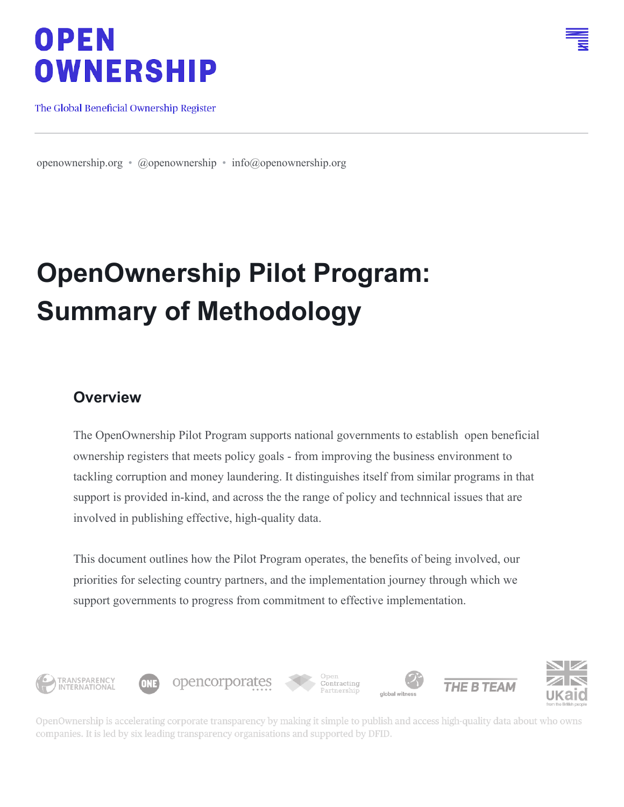# **OPEN OWNERSHIP**

The Global Beneficial Ownership Register

[openownership.org](https://openownership.org/) • [@openownership](https://twitter.com/OpenOwnership/media) • [info@openownership.org](mailto:info@openownership.org)

# **OpenOwnership Pilot Program: Summary of Methodology**

#### **Overview**

The OpenOwnership Pilot Program supports national governments to establish open beneficial ownership registers that meets policy goals - from improving the business environment to tackling corruption and money laundering. It distinguishes itself from similar programs in that support is provided in-kind, and across the the range of policy and technnical issues that are involved in publishing effective, high-quality data.

This document outlines how the Pilot Program operates, the benefits of being involved, our priorities for selecting country partners, and the implementation journey through which we support governments to progress from commitment to effective implementation.



OpenOwnership is accelerating corporate transparency by making it simple to publish and access high-quality data about who owns companies. It is led by six leading transparency organisations and supported by DFID.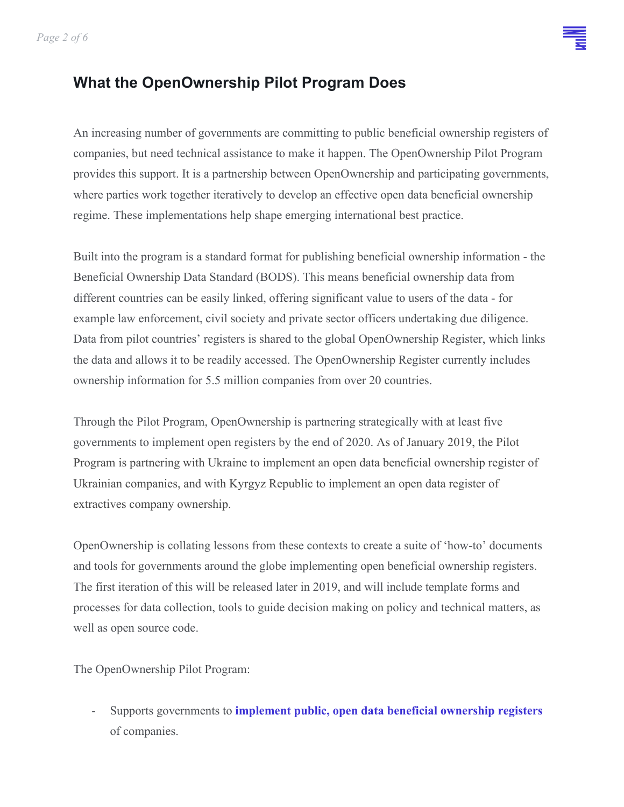*Page 2 of 6*

#### **What the OpenOwnership Pilot Program Does**

An increasing number of governments are committing to public beneficial ownership registers of companies, but need technical assistance to make it happen. The OpenOwnership Pilot Program provides this support. It is a partnership between OpenOwnership and participating governments, where parties work together iteratively to develop an effective open data beneficial ownership regime. These implementations help shape emerging international best practice.

Built into the program is a standard format for publishing beneficial ownership information - the Beneficial Ownership Data Standard (BODS). This means beneficial ownership data from different countries can be easily linked, offering significant value to users of the data - for example law enforcement, civil society and private sector officers undertaking due diligence. Data from pilot countries' registers is shared to the global OpenOwnership Register, which links the data and allows it to be readily accessed. The OpenOwnership Register currently includes ownership information for 5.5 million companies from over 20 countries.

Through the Pilot Program, OpenOwnership is partnering strategically with at least five governments to implement open registers by the end of 2020. As of January 2019, the Pilot Program is partnering with Ukraine to implement an open data beneficial ownership register of Ukrainian companies, and with Kyrgyz Republic to implement an open data register of extractives company ownership.

OpenOwnership is collating lessons from these contexts to create a suite of 'how-to' documents and tools for governments around the globe implementing open beneficial ownership registers. The first iteration of this will be released later in 2019, and will include template forms and processes for data collection, tools to guide decision making on policy and technical matters, as well as open source code.

The OpenOwnership Pilot Program:

- Supports governments to **implement public, open data beneficial ownership registers** of companies.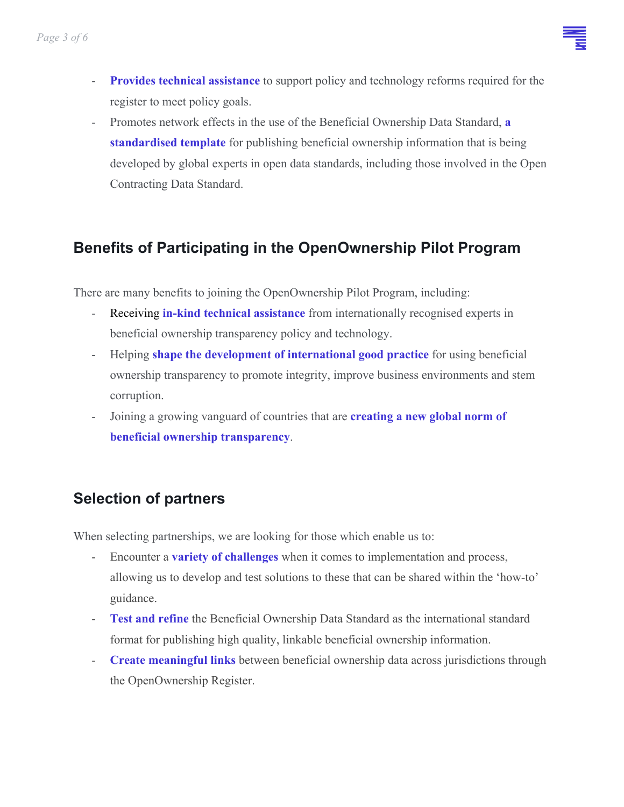

- **Provides technical assistance** to support policy and technology reforms required for the register to meet policy goals.
- Promotes network effects in the use of the Beneficial Ownership Data Standard, **a standardised template** for publishing beneficial ownership information that is being developed by global experts in open data standards, including those involved in the Open Contracting Data Standard.

## **Benefits of Participating in the OpenOwnership Pilot Program**

There are many benefits to joining the OpenOwnership Pilot Program, including:

- Receiving **in-kind technical assistance** from internationally recognised experts in beneficial ownership transparency policy and technology.
- Helping **shape the development of international good practice** for using beneficial ownership transparency to promote integrity, improve business environments and stem corruption.
- Joining a growing vanguard of countries that are **creating a new global norm of beneficial ownership transparency**.

## **Selection of partners**

When selecting partnerships, we are looking for those which enable us to:

- Encounter a **variety of challenges** when it comes to implementation and process, allowing us to develop and test solutions to these that can be shared within the 'how-to' guidance.
- **Test and refine** the Beneficial Ownership Data Standard as the international standard format for publishing high quality, linkable beneficial ownership information.
- **Create meaningful links** between beneficial ownership data across jurisdictions through the OpenOwnership Register.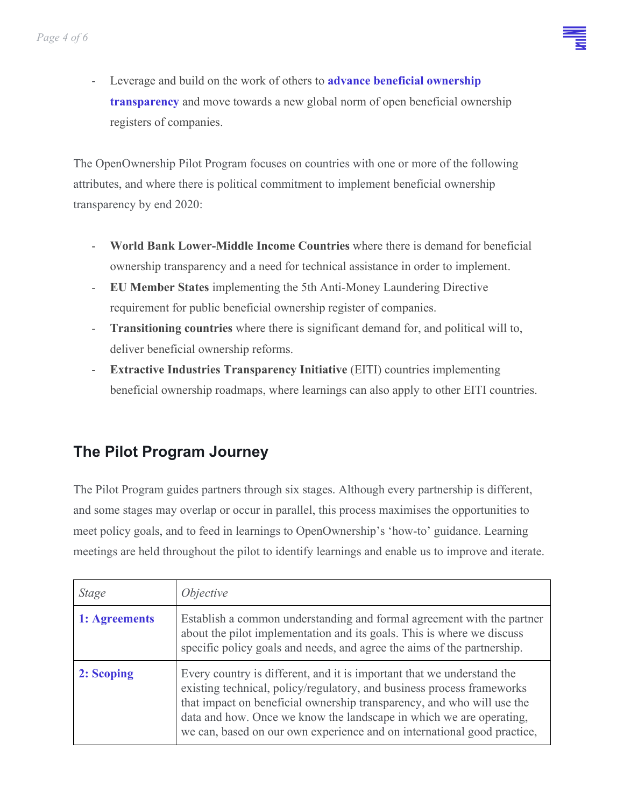

- Leverage and build on the work of others to **advance beneficial ownership transparency** and move towards a new global norm of open beneficial ownership registers of companies.

The OpenOwnership Pilot Program focuses on countries with one or more of the following attributes, and where there is political commitment to implement beneficial ownership transparency by end 2020:

- **World Bank Lower-Middle Income Countries** where there is demand for beneficial ownership transparency and a need for technical assistance in order to implement.
- **EU Member States** implementing the 5th Anti-Money Laundering Directive requirement for public beneficial ownership register of companies.
- **Transitioning countries** where there is significant demand for, and political will to, deliver beneficial ownership reforms.
- **Extractive Industries Transparency Initiative** (EITI) countries implementing beneficial ownership roadmaps, where learnings can also apply to other EITI countries.

## **The Pilot Program Journey**

The Pilot Program guides partners through six stages. Although every partnership is different, and some stages may overlap or occur in parallel, this process maximises the opportunities to meet policy goals, and to feed in learnings to OpenOwnership's 'how-to' guidance. Learning meetings are held throughout the pilot to identify learnings and enable us to improve and iterate.

| <i>Stage</i>  | <i>Objective</i>                                                                                                                                                                                                                                                                                                                                                             |
|---------------|------------------------------------------------------------------------------------------------------------------------------------------------------------------------------------------------------------------------------------------------------------------------------------------------------------------------------------------------------------------------------|
| 1: Agreements | Establish a common understanding and formal agreement with the partner<br>about the pilot implementation and its goals. This is where we discuss<br>specific policy goals and needs, and agree the aims of the partnership.                                                                                                                                                  |
| 2: Scoping    | Every country is different, and it is important that we understand the<br>existing technical, policy/regulatory, and business process frameworks<br>that impact on beneficial ownership transparency, and who will use the<br>data and how. Once we know the landscape in which we are operating,<br>we can, based on our own experience and on international good practice, |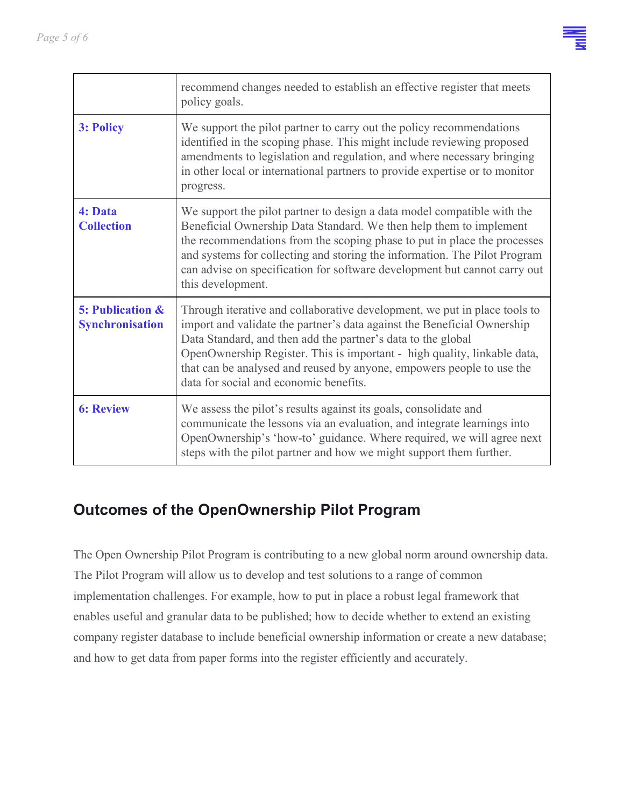

|                                                       | recommend changes needed to establish an effective register that meets<br>policy goals.                                                                                                                                                                                                                                                                                                                             |
|-------------------------------------------------------|---------------------------------------------------------------------------------------------------------------------------------------------------------------------------------------------------------------------------------------------------------------------------------------------------------------------------------------------------------------------------------------------------------------------|
| 3: Policy                                             | We support the pilot partner to carry out the policy recommendations<br>identified in the scoping phase. This might include reviewing proposed<br>amendments to legislation and regulation, and where necessary bringing<br>in other local or international partners to provide expertise or to monitor<br>progress.                                                                                                |
| 4: Data<br><b>Collection</b>                          | We support the pilot partner to design a data model compatible with the<br>Beneficial Ownership Data Standard. We then help them to implement<br>the recommendations from the scoping phase to put in place the processes<br>and systems for collecting and storing the information. The Pilot Program<br>can advise on specification for software development but cannot carry out<br>this development.            |
| <b>5: Publication &amp;</b><br><b>Synchronisation</b> | Through iterative and collaborative development, we put in place tools to<br>import and validate the partner's data against the Beneficial Ownership<br>Data Standard, and then add the partner's data to the global<br>OpenOwnership Register. This is important - high quality, linkable data,<br>that can be analysed and reused by anyone, empowers people to use the<br>data for social and economic benefits. |
| <b>6: Review</b>                                      | We assess the pilot's results against its goals, consolidate and<br>communicate the lessons via an evaluation, and integrate learnings into<br>OpenOwnership's 'how-to' guidance. Where required, we will agree next<br>steps with the pilot partner and how we might support them further.                                                                                                                         |

#### **Outcomes of the OpenOwnership Pilot Program**

The Open Ownership Pilot Program is contributing to a new global norm around ownership data. The Pilot Program will allow us to develop and test solutions to a range of common implementation challenges. For example, how to put in place a robust legal framework that enables useful and granular data to be published; how to decide whether to extend an existing company register database to include beneficial ownership information or create a new database; and how to get data from paper forms into the register efficiently and accurately.